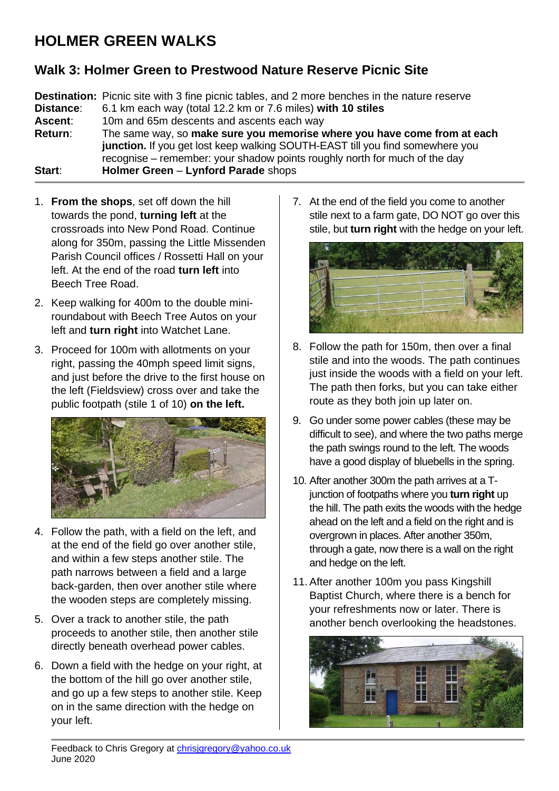## **HOLMER GREEN WALKS**

## **Walk 3: Holmer Green to Prestwood Nature Reserve Picnic Site**

**Destination:** Picnic site with 3 fine picnic tables, and 2 more benches in the nature reserve **Distance**: 6.1 km each way (total 12.2 km or 7.6 miles) **with 10 stiles Ascent**: 10m and 65m descents and ascents each way **Return**: The same way, so **make sure you memorise where you have come from at each junction.** If you get lost keep walking SOUTH-EAST till you find somewhere you recognise – remember: your shadow points roughly north for much of the day **Start**: **Holmer Green** – **Lynford Parade** shops

- 1. **From the shops**, set off down the hill towards the pond, **turning left** at the crossroads into New Pond Road. Continue along for 350m, passing the Little Missenden Parish Council offices / Rossetti Hall on your left. At the end of the road **turn left** into Beech Tree Road.
- 2. Keep walking for 400m to the double miniroundabout with Beech Tree Autos on your left and **turn right** into Watchet Lane.
- 3. Proceed for 100m with allotments on your right, passing the 40mph speed limit signs, and just before the drive to the first house on the left (Fieldsview) cross over and take the public footpath (stile 1 of 10) **on the left.**



- 4. Follow the path, with a field on the left, and at the end of the field go over another stile, and within a few steps another stile. The path narrows between a field and a large back-garden, then over another stile where the wooden steps are completely missing.
- 5. Over a track to another stile, the path proceeds to another stile, then another stile directly beneath overhead power cables.
- 6. Down a field with the hedge on your right, at the bottom of the hill go over another stile, and go up a few steps to another stile. Keep on in the same direction with the hedge on your left.

7. At the end of the field you come to another stile next to a farm gate, DO NOT go over this stile, but **turn right** with the hedge on your left.



- 8. Follow the path for 150m, then over a final stile and into the woods. The path continues just inside the woods with a field on your left. The path then forks, but you can take either route as they both join up later on.
- 9. Go under some power cables (these may be difficult to see), and where the two paths merge the path swings round to the left. The woods have a good display of bluebells in the spring.
- 10. After another 300m the path arrives at a Tjunction of footpaths where you **turn right** up the hill. The path exits the woods with the hedge ahead on the left and a field on the right and is overgrown in places. After another 350m, through a gate, now there is a wall on the right and hedge on the left.
- 11. After another 100m you pass Kingshill Baptist Church, where there is a bench for your refreshments now or later. There is another bench overlooking the headstones.